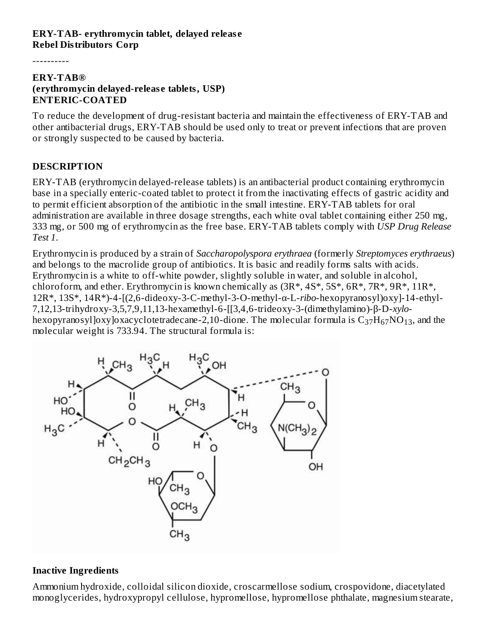#### **ERY-TAB- erythromycin tablet, delayed releas e Rebel Distributors Corp**

----------

#### **ERY-TAB® (erythromycin delayed-releas e tablets, USP) ENTERIC-COATED**

To reduce the development of drug-resistant bacteria and maintain the effectiveness of ERY-TAB and other antibacterial drugs, ERY-TAB should be used only to treat or prevent infections that are proven or strongly suspected to be caused by bacteria.

### **DESCRIPTION**

ERY-TAB (erythromycin delayed-release tablets) is an antibacterial product containing erythromycin base in a specially enteric-coated tablet to protect it from the inactivating effects of gastric acidity and to permit efficient absorption of the antibiotic in the small intestine. ERY-TAB tablets for oral administration are available in three dosage strengths, each white oval tablet containing either 250 mg, 333 mg, or 500 mg of erythromycin as the free base. ERY-TAB tablets comply with *USP Drug Release Test 1*.

Erythromycin is produced by a strain of *Saccharopolyspora erythraea* (formerly *Streptomyces erythraeus*) and belongs to the macrolide group of antibiotics. It is basic and readily forms salts with acids. Erythromycin is a white to off-white powder, slightly soluble in water, and soluble in alcohol, chloroform, and ether. Erythromycin is known chemically as  $(3R^*, 4S^*, 5S^*, 6R^*, 7R^*, 9R^*, 11R^*,$ 12R\*, 13S\*, 14R\*)-4-[(2,6-dideoxy-3-C-methyl-3-O-methyl-α-L-*ribo*-hexopyranosyl)oxy]-14-ethyl-7,12,13-trihydroxy-3,5,7,9,11,13-hexamethyl-6-[[3,4,6-trideoxy-3-(dimethylamino)-β-D-*xylo*hexopyranosyl]oxy]oxacyclotetradecane-2,10-dione. The molecular formula is  $\rm{C_{37}H_{67}NO_{13}}$ , and the molecular weight is 733.94. The structural formula is:



### **Inactive Ingredients**

Ammonium hydroxide, colloidal silicon dioxide, croscarmellose sodium, crospovidone, diacetylated monoglycerides, hydroxypropyl cellulose, hypromellose, hypromellose phthalate, magnesium stearate,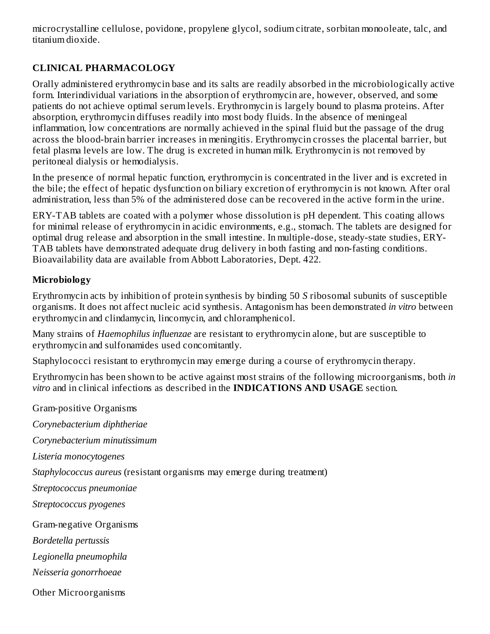microcrystalline cellulose, povidone, propylene glycol, sodium citrate, sorbitan monooleate, talc, and titanium dioxide.

### **CLINICAL PHARMACOLOGY**

Orally administered erythromycin base and its salts are readily absorbed in the microbiologically active form. Interindividual variations in the absorption of erythromycin are, however, observed, and some patients do not achieve optimal serum levels. Erythromycin is largely bound to plasma proteins. After absorption, erythromycin diffuses readily into most body fluids. In the absence of meningeal inflammation, low concentrations are normally achieved in the spinal fluid but the passage of the drug across the blood-brain barrier increases in meningitis. Erythromycin crosses the placental barrier, but fetal plasma levels are low. The drug is excreted in human milk. Erythromycin is not removed by peritoneal dialysis or hemodialysis.

In the presence of normal hepatic function, erythromycin is concentrated in the liver and is excreted in the bile; the effect of hepatic dysfunction on biliary excretion of erythromycin is not known. After oral administration, less than 5% of the administered dose can be recovered in the active form in the urine.

ERY-TAB tablets are coated with a polymer whose dissolution is pH dependent. This coating allows for minimal release of erythromycin in acidic environments, e.g., stomach. The tablets are designed for optimal drug release and absorption in the small intestine. In multiple-dose, steady-state studies, ERY-TAB tablets have demonstrated adequate drug delivery in both fasting and non-fasting conditions. Bioavailability data are available from Abbott Laboratories, Dept. 422.

### **Microbiology**

Erythromycin acts by inhibition of protein synthesis by binding 50 *S* ribosomal subunits of susceptible organisms. It does not affect nucleic acid synthesis. Antagonism has been demonstrated *in vitro* between erythromycin and clindamycin, lincomycin, and chloramphenicol.

Many strains of *Haemophilus influenzae* are resistant to erythromycin alone, but are susceptible to erythromycin and sulfonamides used concomitantly.

Staphylococci resistant to erythromycin may emerge during a course of erythromycin therapy.

Erythromycin has been shown to be active against most strains of the following microorganisms, both *in vitro* and in clinical infections as described in the **INDICATIONS AND USAGE** section.

Gram-positive Organisms *Corynebacterium diphtheriae Corynebacterium minutissimum Listeria monocytogenes Staphylococcus aureus* (resistant organisms may emerge during treatment) *Streptococcus pneumoniae Streptococcus pyogenes* Gram-negative Organisms *Bordetella pertussis Legionella pneumophila Neisseria gonorrhoeae* Other Microorganisms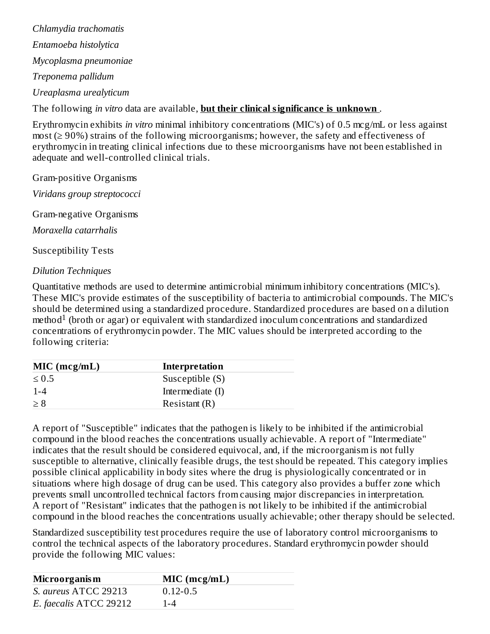*Chlamydia trachomatis Entamoeba histolytica Mycoplasma pneumoniae Treponema pallidum Ureaplasma urealyticum* The following *in vitro* data are available, **but their clinical significance is unknown** . Erythromycin exhibits *in vitro* minimal inhibitory concentrations (MIC's) of 0.5 mcg/mL or less against

most (≥ 90%) strains of the following microorganisms; however, the safety and effectiveness of erythromycin in treating clinical infections due to these microorganisms have not been established in adequate and well-controlled clinical trials.

Gram-positive Organisms

*Viridans group streptococci*

Gram-negative Organisms

*Moraxella catarrhalis*

Susceptibility Tests

#### *Dilution Techniques*

Quantitative methods are used to determine antimicrobial minimum inhibitory concentrations (MIC's). These MIC's provide estimates of the susceptibility of bacteria to antimicrobial compounds. The MIC's should be determined using a standardized procedure. Standardized procedures are based on a dilution  $m$ ethod<sup>1</sup> (broth or agar) or equivalent with standardized inoculum concentrations and standardized concentrations of erythromycin powder. The MIC values should be interpreted according to the following criteria:

| $MIC$ (mcg/mL) | Interpretation   |  |  |  |
|----------------|------------------|--|--|--|
| $\leq 0.5$     | Susceptible (S)  |  |  |  |
| $1 - 4$        | Intermediate (I) |  |  |  |
| $\geq 8$       | Resistant (R)    |  |  |  |

A report of "Susceptible" indicates that the pathogen is likely to be inhibited if the antimicrobial compound in the blood reaches the concentrations usually achievable. A report of "Intermediate" indicates that the result should be considered equivocal, and, if the microorganism is not fully susceptible to alternative, clinically feasible drugs, the test should be repeated. This category implies possible clinical applicability in body sites where the drug is physiologically concentrated or in situations where high dosage of drug can be used. This category also provides a buffer zone which prevents small uncontrolled technical factors from causing major discrepancies in interpretation. A report of "Resistant" indicates that the pathogen is not likely to be inhibited if the antimicrobial compound in the blood reaches the concentrations usually achievable; other therapy should be selected.

Standardized susceptibility test procedures require the use of laboratory control microorganisms to control the technical aspects of the laboratory procedures. Standard erythromycin powder should provide the following MIC values:

| <b>Microorganism</b>   | $MIC$ (mcg/mL) |
|------------------------|----------------|
| S. aureus ATCC 29213   | $0.12 - 0.5$   |
| E. faecalis ATCC 29212 | $1 - 4$        |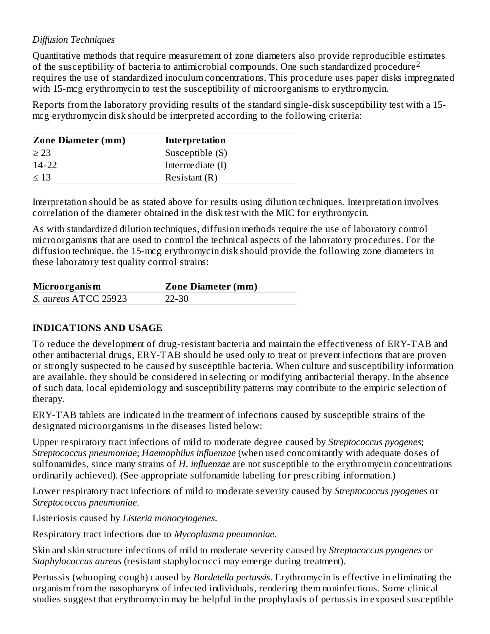### *Diffusion Techniques*

Quantitative methods that require measurement of zone diameters also provide reproducible estimates of the susceptibility of bacteria to antimicrobial compounds. One such standardized procedure<sup>2</sup> requires the use of standardized inoculum concentrations. This procedure uses paper disks impregnated with 15-mcg erythromycin to test the susceptibility of microorganisms to erythromycin.

Reports from the laboratory providing results of the standard single-disk susceptibility test with a 15 mcg erythromycin disk should be interpreted according to the following criteria:

| <b>Zone Diameter (mm)</b> | Interpretation   |  |
|---------------------------|------------------|--|
| > 23                      | Susceptible (S)  |  |
| $14-22$                   | Intermediate (I) |  |
| $\leq 13$                 | Resistant (R)    |  |

Interpretation should be as stated above for results using dilution techniques. Interpretation involves correlation of the diameter obtained in the disk test with the MIC for erythromycin.

As with standardized dilution techniques, diffusion methods require the use of laboratory control microorganisms that are used to control the technical aspects of the laboratory procedures. For the diffusion technique, the 15-mcg erythromycin disk should provide the following zone diameters in these laboratory test quality control strains:

| <b>Microorganism</b> | <b>Zone Diameter (mm)</b> |  |  |  |
|----------------------|---------------------------|--|--|--|
| S. aureus ATCC 25923 | 22-30                     |  |  |  |

### **INDICATIONS AND USAGE**

To reduce the development of drug-resistant bacteria and maintain the effectiveness of ERY-TAB and other antibacterial drugs, ERY-TAB should be used only to treat or prevent infections that are proven or strongly suspected to be caused by susceptible bacteria. When culture and susceptibility information are available, they should be considered in selecting or modifying antibacterial therapy. In the absence of such data, local epidemiology and susceptibility patterns may contribute to the empiric selection of therapy.

ERY-TAB tablets are indicated in the treatment of infections caused by susceptible strains of the designated microorganisms in the diseases listed below:

Upper respiratory tract infections of mild to moderate degree caused by *Streptococcus pyogenes*; *Streptococcus pneumoniae*; *Haemophilus influenzae* (when used concomitantly with adequate doses of sulfonamides, since many strains of *H. influenzae* are not susceptible to the erythromycin concentrations ordinarily achieved). (See appropriate sulfonamide labeling for prescribing information.)

Lower respiratory tract infections of mild to moderate severity caused by *Streptococcus pyogenes* or *Streptococcus pneumoniae*.

Listeriosis caused by *Listeria monocytogenes*.

Respiratory tract infections due to *Mycoplasma pneumoniae*.

Skin and skin structure infections of mild to moderate severity caused by *Streptococcus pyogenes* or *Staphylococcus aureus* (resistant staphylococci may emerge during treatment).

Pertussis (whooping cough) caused by *Bordetella pertussis*. Erythromycin is effective in eliminating the organism from the nasopharynx of infected individuals, rendering them noninfectious. Some clinical studies suggest that erythromycin may be helpful in the prophylaxis of pertussis in exposed susceptible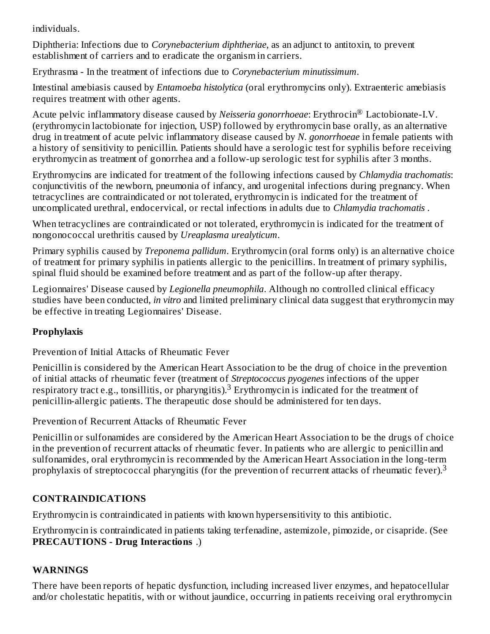individuals.

Diphtheria: Infections due to *Corynebacterium diphtheriae*, as an adjunct to antitoxin, to prevent establishment of carriers and to eradicate the organism in carriers.

Erythrasma - In the treatment of infections due to *Corynebacterium minutissimum*.

Intestinal amebiasis caused by *Entamoeba histolytica* (oral erythromycins only). Extraenteric amebiasis requires treatment with other agents.

Acute pelvic inflammatory disease caused by *Neisseria gonorrhoeae*: Erythrocin® Lactobionate-I.V. (erythromycin lactobionate for injection, USP) followed by erythromycin base orally, as an alternative drug in treatment of acute pelvic inflammatory disease caused by *N. gonorrhoeae* in female patients with a history of sensitivity to penicillin. Patients should have a serologic test for syphilis before receiving erythromycin as treatment of gonorrhea and a follow-up serologic test for syphilis after 3 months.

Erythromycins are indicated for treatment of the following infections caused by *Chlamydia trachomatis*: conjunctivitis of the newborn, pneumonia of infancy, and urogenital infections during pregnancy. When tetracyclines are contraindicated or not tolerated, erythromycin is indicated for the treatment of uncomplicated urethral, endocervical, or rectal infections in adults due to *Chlamydia trachomatis* .

When tetracyclines are contraindicated or not tolerated, erythromycin is indicated for the treatment of nongonococcal urethritis caused by *Ureaplasma urealyticum*.

Primary syphilis caused by *Treponema pallidum*. Erythromycin (oral forms only) is an alternative choice of treatment for primary syphilis in patients allergic to the penicillins. In treatment of primary syphilis, spinal fluid should be examined before treatment and as part of the follow-up after therapy.

Legionnaires' Disease caused by *Legionella pneumophila*. Although no controlled clinical efficacy studies have been conducted, *in vitro* and limited preliminary clinical data suggest that erythromycin may be effective in treating Legionnaires' Disease.

### **Prophylaxis**

Prevention of Initial Attacks of Rheumatic Fever

Penicillin is considered by the American Heart Association to be the drug of choice in the prevention of initial attacks of rheumatic fever (treatment of *Streptococcus pyogenes* infections of the upper respiratory tract e.g., tonsillitis, or pharyngitis).<sup>3</sup> Erythromycin is indicated for the treatment of penicillin-allergic patients. The therapeutic dose should be administered for ten days.

Prevention of Recurrent Attacks of Rheumatic Fever

Penicillin or sulfonamides are considered by the American Heart Association to be the drugs of choice in the prevention of recurrent attacks of rheumatic fever. In patients who are allergic to penicillin and sulfonamides, oral erythromycin is recommended by the American Heart Association in the long-term prophylaxis of streptococcal pharyngitis (for the prevention of recurrent attacks of rheumatic fever).<sup>3</sup>

### **CONTRAINDICATIONS**

Erythromycin is contraindicated in patients with known hypersensitivity to this antibiotic.

Erythromycin is contraindicated in patients taking terfenadine, astemizole, pimozide, or cisapride. (See **PRECAUTIONS - Drug Interactions** .)

### **WARNINGS**

There have been reports of hepatic dysfunction, including increased liver enzymes, and hepatocellular and/or cholestatic hepatitis, with or without jaundice, occurring in patients receiving oral erythromycin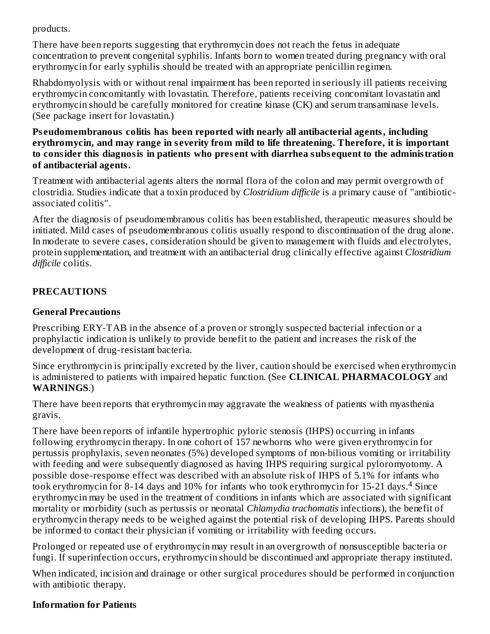products.

There have been reports suggesting that erythromycin does not reach the fetus in adequate concentration to prevent congenital syphilis. Infants born to women treated during pregnancy with oral erythromycin for early syphilis should be treated with an appropriate penicillin regimen.

Rhabdomyolysis with or without renal impairment has been reported in seriously ill patients receiving erythromycin concomitantly with lovastatin. Therefore, patients receiving concomitant lovastatin and erythromycin should be carefully monitored for creatine kinase (CK) and serum transaminase levels. (See package insert for lovastatin.)

**Ps eudomembranous colitis has been reported with nearly all antibacterial agents, including erythromycin, and may range in s everity from mild to life threatening. Therefore, it is important to consider this diagnosis in patients who pres ent with diarrhea subs equent to the administration of antibacterial agents.**

Treatment with antibacterial agents alters the normal flora of the colon and may permit overgrowth of clostridia. Studies indicate that a toxin produced by *Clostridium difficile* is a primary cause of "antibioticassociated colitis".

After the diagnosis of pseudomembranous colitis has been established, therapeutic measures should be initiated. Mild cases of pseudomembranous colitis usually respond to discontinuation of the drug alone. In moderate to severe cases, consideration should be given to management with fluids and electrolytes, protein supplementation, and treatment with an antibacterial drug clinically effective against *Clostridium difficile* colitis.

### **PRECAUTIONS**

### **General Precautions**

Prescribing ERY-TAB in the absence of a proven or strongly suspected bacterial infection or a prophylactic indication is unlikely to provide benefit to the patient and increases the risk of the development of drug-resistant bacteria.

Since erythromycin is principally excreted by the liver, caution should be exercised when erythromycin is administered to patients with impaired hepatic function. (See **CLINICAL PHARMACOLOGY** and **WARNINGS**.)

There have been reports that erythromycin may aggravate the weakness of patients with myasthenia gravis.

There have been reports of infantile hypertrophic pyloric stenosis (IHPS) occurring in infants following erythromycin therapy. In one cohort of 157 newborns who were given erythromycin for pertussis prophylaxis, seven neonates (5%) developed symptoms of non-bilious vomiting or irritability with feeding and were subsequently diagnosed as having IHPS requiring surgical pyloromyotomy. A possible dose-response effect was described with an absolute risk of IHPS of 5.1% for infants who took erythromycin for 8-14 days and 10% for infants who took erythromycin for 15-21 days. $4$  Since erythromycin may be used in the treatment of conditions in infants which are associated with significant mortality or morbidity (such as pertussis or neonatal *Chlamydia trachomatis* infections), the benefit of erythromycin therapy needs to be weighed against the potential risk of developing IHPS. Parents should be informed to contact their physician if vomiting or irritability with feeding occurs.

Prolonged or repeated use of erythromycin may result in an overgrowth of nonsusceptible bacteria or fungi. If superinfection occurs, erythromycin should be discontinued and appropriate therapy instituted.

When indicated, incision and drainage or other surgical procedures should be performed in conjunction with antibiotic therapy.

### **Information for Patients**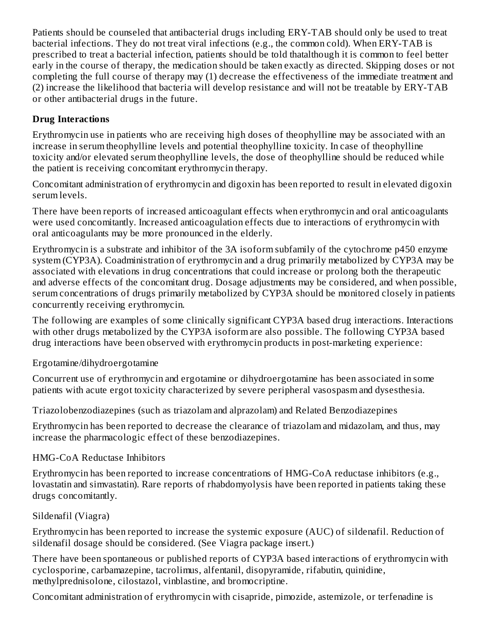Patients should be counseled that antibacterial drugs including ERY-TAB should only be used to treat bacterial infections. They do not treat viral infections (e.g., the common cold). When ERY-TAB is prescribed to treat a bacterial infection, patients should be told thatalthough it is common to feel better early in the course of therapy, the medication should be taken exactly as directed. Skipping doses or not completing the full course of therapy may (1) decrease the effectiveness of the immediate treatment and (2) increase the likelihood that bacteria will develop resistance and will not be treatable by ERY-TAB or other antibacterial drugs in the future.

### **Drug Interactions**

Erythromycin use in patients who are receiving high doses of theophylline may be associated with an increase in serum theophylline levels and potential theophylline toxicity. In case of theophylline toxicity and/or elevated serum theophylline levels, the dose of theophylline should be reduced while the patient is receiving concomitant erythromycin therapy.

Concomitant administration of erythromycin and digoxin has been reported to result in elevated digoxin serum levels.

There have been reports of increased anticoagulant effects when erythromycin and oral anticoagulants were used concomitantly. Increased anticoagulation effects due to interactions of erythromycin with oral anticoagulants may be more pronounced in the elderly.

Erythromycin is a substrate and inhibitor of the 3A isoform subfamily of the cytochrome p450 enzyme system (CYP3A). Coadministration of erythromycin and a drug primarily metabolized by CYP3A may be associated with elevations in drug concentrations that could increase or prolong both the therapeutic and adverse effects of the concomitant drug. Dosage adjustments may be considered, and when possible, serum concentrations of drugs primarily metabolized by CYP3A should be monitored closely in patients concurrently receiving erythromycin.

The following are examples of some clinically significant CYP3A based drug interactions. Interactions with other drugs metabolized by the CYP3A isoform are also possible. The following CYP3A based drug interactions have been observed with erythromycin products in post-marketing experience:

### Ergotamine/dihydroergotamine

Concurrent use of erythromycin and ergotamine or dihydroergotamine has been associated in some patients with acute ergot toxicity characterized by severe peripheral vasospasm and dysesthesia.

Triazolobenzodiazepines (such as triazolam and alprazolam) and Related Benzodiazepines

Erythromycin has been reported to decrease the clearance of triazolam and midazolam, and thus, may increase the pharmacologic effect of these benzodiazepines.

### HMG-CoA Reductase Inhibitors

Erythromycin has been reported to increase concentrations of HMG-CoA reductase inhibitors (e.g., lovastatin and simvastatin). Rare reports of rhabdomyolysis have been reported in patients taking these drugs concomitantly.

### Sildenafil (Viagra)

Erythromycin has been reported to increase the systemic exposure (AUC) of sildenafil. Reduction of sildenafil dosage should be considered. (See Viagra package insert.)

There have been spontaneous or published reports of CYP3A based interactions of erythromycin with cyclosporine, carbamazepine, tacrolimus, alfentanil, disopyramide, rifabutin, quinidine, methylprednisolone, cilostazol, vinblastine, and bromocriptine.

Concomitant administration of erythromycin with cisapride, pimozide, astemizole, or terfenadine is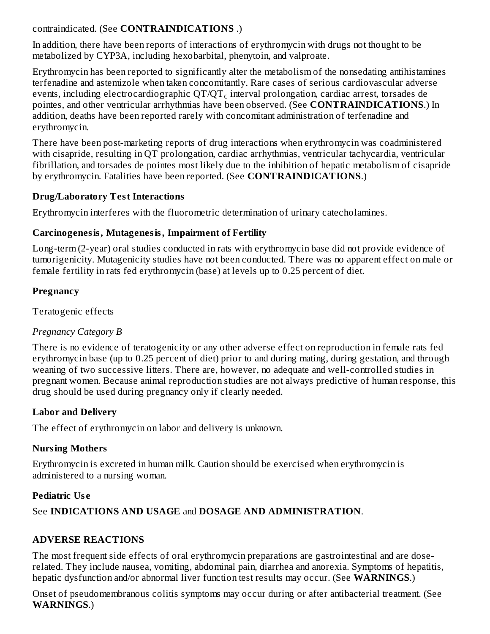### contraindicated. (See **CONTRAINDICATIONS** .)

In addition, there have been reports of interactions of erythromycin with drugs not thought to be metabolized by CYP3A, including hexobarbital, phenytoin, and valproate.

Erythromycin has been reported to significantly alter the metabolism of the nonsedating antihistamines terfenadine and astemizole when taken concomitantly. Rare cases of serious cardiovascular adverse events, including electrocardiographic QT/QT $_{\rm c}$  interval prolongation, cardiac arrest, torsades de pointes, and other ventricular arrhythmias have been observed. (See **CONTRAINDICATIONS**.) In addition, deaths have been reported rarely with concomitant administration of terfenadine and erythromycin.

There have been post-marketing reports of drug interactions when erythromycin was coadministered with cisapride, resulting in QT prolongation, cardiac arrhythmias, ventricular tachycardia, ventricular fibrillation, and torsades de pointes most likely due to the inhibition of hepatic metabolism of cisapride by erythromycin. Fatalities have been reported. (See **CONTRAINDICATIONS**.)

### **Drug/Laboratory Test Interactions**

Erythromycin interferes with the fluorometric determination of urinary catecholamines.

### **Carcinogenesis, Mutagenesis, Impairment of Fertility**

Long-term (2-year) oral studies conducted in rats with erythromycin base did not provide evidence of tumorigenicity. Mutagenicity studies have not been conducted. There was no apparent effect on male or female fertility in rats fed erythromycin (base) at levels up to 0.25 percent of diet.

### **Pregnancy**

Teratogenic effects

### *Pregnancy Category B*

There is no evidence of teratogenicity or any other adverse effect on reproduction in female rats fed erythromycin base (up to 0.25 percent of diet) prior to and during mating, during gestation, and through weaning of two successive litters. There are, however, no adequate and well-controlled studies in pregnant women. Because animal reproduction studies are not always predictive of human response, this drug should be used during pregnancy only if clearly needed.

### **Labor and Delivery**

The effect of erythromycin on labor and delivery is unknown.

### **Nursing Mothers**

Erythromycin is excreted in human milk. Caution should be exercised when erythromycin is administered to a nursing woman.

### **Pediatric Us e**

### See **INDICATIONS AND USAGE** and **DOSAGE AND ADMINISTRATION**.

### **ADVERSE REACTIONS**

The most frequent side effects of oral erythromycin preparations are gastrointestinal and are doserelated. They include nausea, vomiting, abdominal pain, diarrhea and anorexia. Symptoms of hepatitis, hepatic dysfunction and/or abnormal liver function test results may occur. (See **WARNINGS**.)

Onset of pseudomembranous colitis symptoms may occur during or after antibacterial treatment. (See **WARNINGS**.)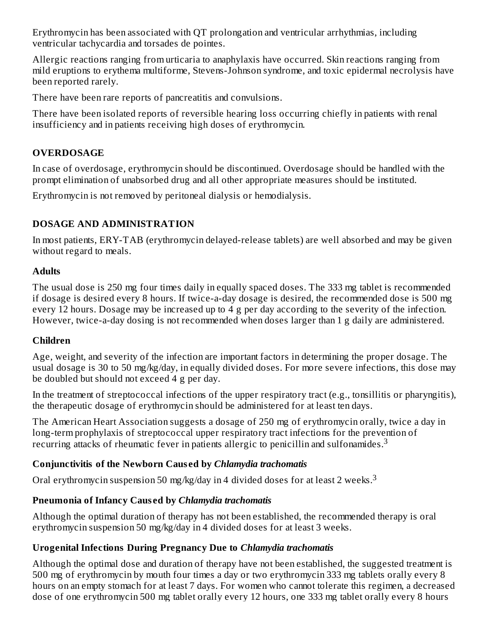Erythromycin has been associated with QT prolongation and ventricular arrhythmias, including ventricular tachycardia and torsades de pointes.

Allergic reactions ranging from urticaria to anaphylaxis have occurred. Skin reactions ranging from mild eruptions to erythema multiforme, Stevens-Johnson syndrome, and toxic epidermal necrolysis have been reported rarely.

There have been rare reports of pancreatitis and convulsions.

There have been isolated reports of reversible hearing loss occurring chiefly in patients with renal insufficiency and in patients receiving high doses of erythromycin.

### **OVERDOSAGE**

In case of overdosage, erythromycin should be discontinued. Overdosage should be handled with the prompt elimination of unabsorbed drug and all other appropriate measures should be instituted.

Erythromycin is not removed by peritoneal dialysis or hemodialysis.

### **DOSAGE AND ADMINISTRATION**

In most patients, ERY-TAB (erythromycin delayed-release tablets) are well absorbed and may be given without regard to meals.

### **Adults**

The usual dose is 250 mg four times daily in equally spaced doses. The 333 mg tablet is recommended if dosage is desired every 8 hours. If twice-a-day dosage is desired, the recommended dose is 500 mg every 12 hours. Dosage may be increased up to 4 g per day according to the severity of the infection. However, twice-a-day dosing is not recommended when doses larger than 1 g daily are administered.

### **Children**

Age, weight, and severity of the infection are important factors in determining the proper dosage. The usual dosage is 30 to 50 mg/kg/day, in equally divided doses. For more severe infections, this dose may be doubled but should not exceed 4 g per day.

In the treatment of streptococcal infections of the upper respiratory tract (e.g., tonsillitis or pharyngitis), the therapeutic dosage of erythromycin should be administered for at least ten days.

The American Heart Association suggests a dosage of 250 mg of erythromycin orally, twice a day in long-term prophylaxis of streptococcal upper respiratory tract infections for the prevention of recurring attacks of rheumatic fever in patients allergic to penicillin and sulfonamides.<sup>3</sup>

### **Conjunctivitis of the Newborn Caus ed by** *Chlamydia trachomatis*

Oral erythromycin suspension 50 mg/kg/day in 4 divided doses for at least 2 weeks. $^3$ 

### **Pneumonia of Infancy Caus ed by** *Chlamydia trachomatis*

Although the optimal duration of therapy has not been established, the recommended therapy is oral erythromycin suspension 50 mg/kg/day in 4 divided doses for at least 3 weeks.

### **Urogenital Infections During Pregnancy Due to** *Chlamydia trachomatis*

Although the optimal dose and duration of therapy have not been established, the suggested treatment is 500 mg of erythromycin by mouth four times a day or two erythromycin 333 mg tablets orally every 8 hours on an empty stomach for at least 7 days. For women who cannot tolerate this regimen, a decreased dose of one erythromycin 500 mg tablet orally every 12 hours, one 333 mg tablet orally every 8 hours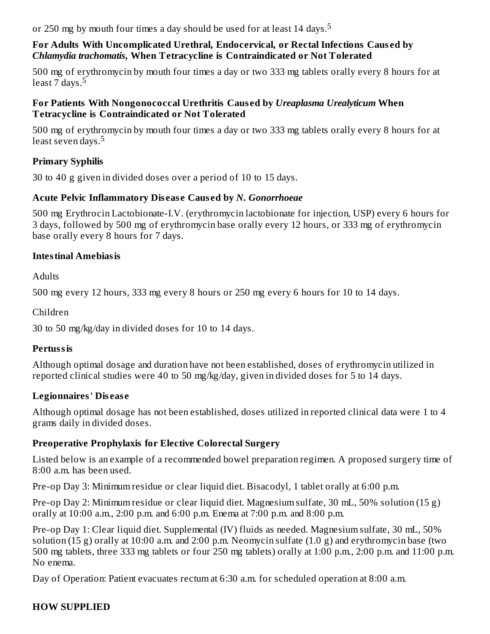or 250 mg by mouth four times a day should be used for at least 14 days. $^5$ 

#### **For Adults With Uncomplicated Urethral, Endocervical, or Rectal Infections Caus ed by** *Chlamydia trachomatis***, When Tetracycline is Contraindicated or Not Tolerated**

500 mg of erythromycin by mouth four times a day or two 333 mg tablets orally every 8 hours for at least 7 days.<sup>5</sup>

#### **For Patients With Nongonococcal Urethritis Caus ed by** *Ureaplasma Urealyticum* **When Tetracycline is Contraindicated or Not Tolerated**

500 mg of erythromycin by mouth four times a day or two 333 mg tablets orally every 8 hours for at least seven days. 5

### **Primary Syphilis**

30 to 40 g given in divided doses over a period of 10 to 15 days.

### **Acute Pelvic Inflammatory Dis eas e Caus ed by** *N. Gonorrhoeae*

500 mg Erythrocin Lactobionate-I.V. (erythromycin lactobionate for injection, USP) every 6 hours for 3 days, followed by 500 mg of erythromycin base orally every 12 hours, or 333 mg of erythromycin base orally every 8 hours for 7 days.

### **Intestinal Amebiasis**

**Adults** 

500 mg every 12 hours, 333 mg every 8 hours or 250 mg every 6 hours for 10 to 14 days.

Children

30 to 50 mg/kg/day in divided doses for 10 to 14 days.

### **Pertussis**

Although optimal dosage and duration have not been established, doses of erythromycin utilized in reported clinical studies were 40 to 50 mg/kg/day, given in divided doses for 5 to 14 days.

### **Legionnaires' Dis eas e**

Although optimal dosage has not been established, doses utilized in reported clinical data were 1 to 4 grams daily in divided doses.

### **Preoperative Prophylaxis for Elective Colorectal Surgery**

Listed below is an example of a recommended bowel preparation regimen. A proposed surgery time of 8:00 a.m. has been used.

Pre-op Day 3: Minimum residue or clear liquid diet. Bisacodyl, 1 tablet orally at 6:00 p.m.

Pre-op Day 2: Minimum residue or clear liquid diet. Magnesium sulfate, 30 mL, 50% solution (15 g) orally at 10:00 a.m., 2:00 p.m. and 6:00 p.m. Enema at 7:00 p.m. and 8:00 p.m.

Pre-op Day 1: Clear liquid diet. Supplemental (IV) fluids as needed. Magnesium sulfate, 30 mL, 50% solution (15 g) orally at 10:00 a.m. and 2:00 p.m. Neomycin sulfate (1.0 g) and erythromycin base (two 500 mg tablets, three 333 mg tablets or four 250 mg tablets) orally at 1:00 p.m., 2:00 p.m. and 11:00 p.m. No enema.

Day of Operation: Patient evacuates rectum at 6:30 a.m. for scheduled operation at 8:00 a.m.

### **HOW SUPPLIED**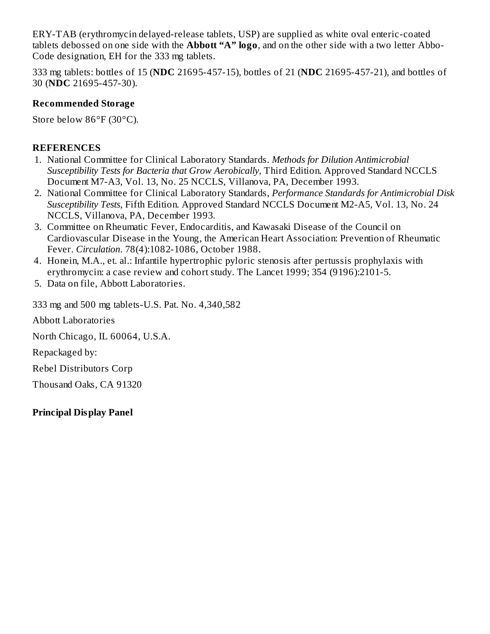ERY-TAB (erythromycin delayed-release tablets, USP) are supplied as white oval enteric-coated tablets debossed on one side with the **Abbott "A" logo**, and on the other side with a two letter Abbo-Code designation, EH for the 333 mg tablets.

333 mg tablets: bottles of 15 (**NDC** 21695-457-15), bottles of 21 (**NDC** 21695-457-21), and bottles of 30 (**NDC** 21695-457-30).

### **Recommended Storage**

Store below 86°F (30°C).

### **REFERENCES**

- 1. National Committee for Clinical Laboratory Standards. *Methods for Dilution Antimicrobial Susceptibility Tests for Bacteria that Grow Aerobically*, Third Edition. Approved Standard NCCLS Document M7-A3, Vol. 13, No. 25 NCCLS, Villanova, PA, December 1993.
- 2. National Committee for Clinical Laboratory Standards, *Performance Standards for Antimicrobial Disk Susceptibility Tests*, Fifth Edition. Approved Standard NCCLS Document M2-A5, Vol. 13, No. 24 NCCLS, Villanova, PA, December 1993.
- 3. Committee on Rheumatic Fever, Endocarditis, and Kawasaki Disease of the Council on Cardiovascular Disease in the Young, the American Heart Association: Prevention of Rheumatic Fever. *Circulation*. 78(4):1082-1086, October 1988.
- 4. Honein, M.A., et. al.: Infantile hypertrophic pyloric stenosis after pertussis prophylaxis with erythromycin: a case review and cohort study. The Lancet 1999; 354 (9196):2101-5.
- 5. Data on file, Abbott Laboratories.

333 mg and 500 mg tablets-U.S. Pat. No. 4,340,582

Abbott Laboratories

North Chicago, IL 60064, U.S.A.

Repackaged by:

Rebel Distributors Corp

Thousand Oaks, CA 91320

### **Principal Display Panel**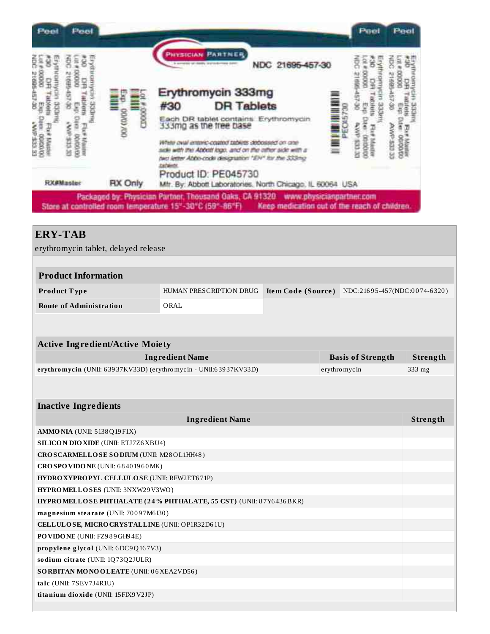

| <b>ERY-TAB</b>                                                                        |                                                                               |  |                          |                  |  |
|---------------------------------------------------------------------------------------|-------------------------------------------------------------------------------|--|--------------------------|------------------|--|
| erythromycin tablet, delayed release                                                  |                                                                               |  |                          |                  |  |
|                                                                                       |                                                                               |  |                          |                  |  |
| <b>Product Information</b>                                                            |                                                                               |  |                          |                  |  |
| Product Type                                                                          | HUMAN PRESCRIPTION DRUG<br>Item Code (Source)<br>NDC:21695-457(NDC:0074-6320) |  |                          |                  |  |
| <b>Route of Administration</b>                                                        | ORAL                                                                          |  |                          |                  |  |
|                                                                                       |                                                                               |  |                          |                  |  |
|                                                                                       |                                                                               |  |                          |                  |  |
| <b>Active Ingredient/Active Moiety</b>                                                |                                                                               |  |                          |                  |  |
|                                                                                       | <b>Ingredient Name</b>                                                        |  | <b>Basis of Strength</b> | Strength         |  |
| erythromycin (UNII: 63937KV33D) (erythromycin - UNII:63937KV33D)                      |                                                                               |  | erythromycin             | $333 \text{ mg}$ |  |
|                                                                                       |                                                                               |  |                          |                  |  |
|                                                                                       |                                                                               |  |                          |                  |  |
| <b>Inactive Ingredients</b>                                                           |                                                                               |  |                          |                  |  |
| <b>Ingredient Name</b>                                                                |                                                                               |  |                          |                  |  |
| <b>AMMO NIA (UNII: 5138 Q19 F1X)</b>                                                  |                                                                               |  |                          |                  |  |
| <b>SILICON DIO XIDE (UNII: ETJ7Z6 XBU4)</b>                                           |                                                                               |  |                          |                  |  |
| CROSCARMELLOSE SODIUM (UNII: M28OL1HH48)                                              |                                                                               |  |                          |                  |  |
| CROSPOVIDONE (UNII: 68401960MK)<br><b>HYDRO XYPROPYL CELLULOSE (UNII: RFW2ET671P)</b> |                                                                               |  |                          |                  |  |
| HYPROMELLOSES (UNII: 3NXW29V3WO)                                                      |                                                                               |  |                          |                  |  |
| HYPROMELLOSE PHTHALATE (24% PHTHALATE, 55 CST) (UNII: 87Y6436BKR)                     |                                                                               |  |                          |                  |  |
| magnesium stearate (UNII: 70097M6I30)                                                 |                                                                               |  |                          |                  |  |
| CELLULOSE, MICRO CRYSTALLINE (UNII: OP1R32D61U)                                       |                                                                               |  |                          |                  |  |
| PO VIDO NE (UNII: FZ989GH94E)                                                         |                                                                               |  |                          |                  |  |
| propylene glycol (UNII: 6DC9Q167V3)                                                   |                                                                               |  |                          |                  |  |
| sodium citrate (UNII: 1Q73Q2JULR)                                                     |                                                                               |  |                          |                  |  |
| SORBITAN MONOOLEATE (UNII: 06XEA2VD56)                                                |                                                                               |  |                          |                  |  |
| talc (UNII: 7SEV7J4R1U)                                                               |                                                                               |  |                          |                  |  |
| titanium dioxide (UNII: 15FIX9V2JP)                                                   |                                                                               |  |                          |                  |  |
|                                                                                       |                                                                               |  |                          |                  |  |